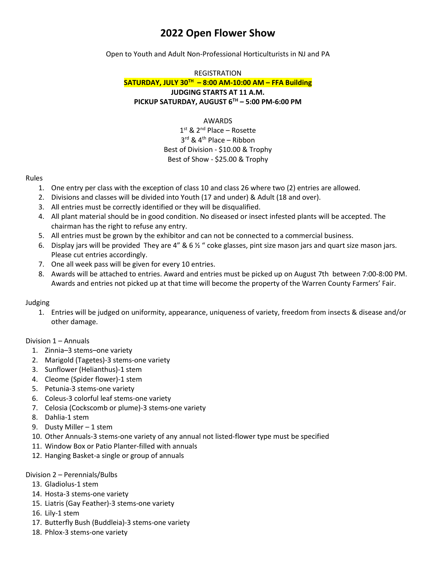# **2022 Open Flower Show**

Open to Youth and Adult Non-Professional Horticulturists in NJ and PA

## REGISTRATION

**SATURDAY, JULY 30TH – 8:00 AM-10:00 AM – FFA Building JUDGING STARTS AT 11 A.M. PICKUP SATURDAY, AUGUST 6TH – 5:00 PM-6:00 PM**

#### AWARDS

### 1<sup>st</sup> & 2<sup>nd</sup> Place – Rosette 3 rd & 4th Place – Ribbon Best of Division - \$10.00 & Trophy Best of Show - \$25.00 & Trophy

#### Rules

- 1. One entry per class with the exception of class 10 and class 26 where two (2) entries are allowed.
- 2. Divisions and classes will be divided into Youth (17 and under) & Adult (18 and over).
- 3. All entries must be correctly identified or they will be disqualified.
- 4. All plant material should be in good condition. No diseased or insect infested plants will be accepted. The chairman has the right to refuse any entry.
- 5. All entries must be grown by the exhibitor and can not be connected to a commercial business.
- 6. Display jars will be provided They are 4" & 6  $\frac{1}{2}$  " coke glasses, pint size mason jars and quart size mason jars. Please cut entries accordingly.
- 7. One all week pass will be given for every 10 entries.
- 8. Awards will be attached to entries. Award and entries must be picked up on August 7th between 7:00-8:00 PM. Awards and entries not picked up at that time will become the property of the Warren County Farmers' Fair.

#### Judging

1. Entries will be judged on uniformity, appearance, uniqueness of variety, freedom from insects & disease and/or other damage.

#### Division 1 – Annuals

- 1. Zinnia–3 stems–one variety
- 2. Marigold (Tagetes)-3 stems-one variety
- 3. Sunflower (Helianthus)-1 stem
- 4. Cleome (Spider flower)-1 stem
- 5. Petunia-3 stems-one variety
- 6. Coleus-3 colorful leaf stems-one variety
- 7. Celosia (Cockscomb or plume)-3 stems-one variety
- 8. Dahlia-1 stem
- 9. Dusty Miller 1 stem
- 10. Other Annuals-3 stems-one variety of any annual not listed-flower type must be specified
- 11. Window Box or Patio Planter-filled with annuals
- 12. Hanging Basket-a single or group of annuals

#### Division 2 – Perennials/Bulbs

- 13. Gladiolus-1 stem
- 14. Hosta-3 stems-one variety
- 15. Liatris (Gay Feather)-3 stems-one variety
- 16. Lily-1 stem
- 17. Butterfly Bush (Buddleia)-3 stems-one variety
- 18. Phlox-3 stems-one variety